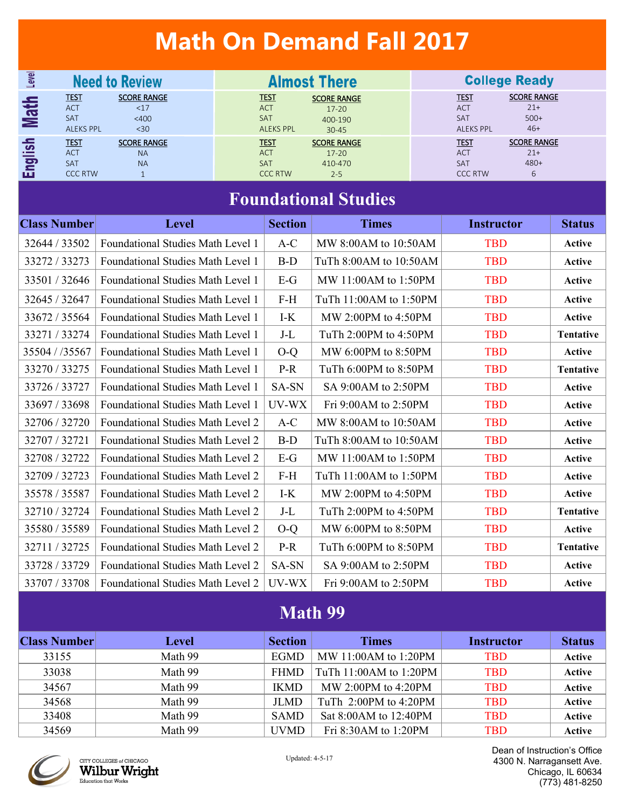# **Math On Demand Fall 2017**

| Level                            | <b>Need to Review</b>                                       |                                              | <b>Almost There</b>                                         |                                                         |  | <b>College Ready</b>                                      |                                                |  |
|----------------------------------|-------------------------------------------------------------|----------------------------------------------|-------------------------------------------------------------|---------------------------------------------------------|--|-----------------------------------------------------------|------------------------------------------------|--|
| 출<br><u>SM</u>                   | <u>TEST</u><br><b>ACT</b><br><b>SAT</b><br><b>ALEKS PPL</b> | <b>SCORE RANGE</b><br><17<br>$<$ 400<br>$30$ | <b>TEST</b><br><b>ACT</b><br><b>SAT</b><br><b>ALEKS PPL</b> | <b>SCORE RANGE</b><br>$17 - 20$<br>400-190<br>$30 - 45$ |  | <u>TEST</u><br><b>ACT</b><br>SAT<br><b>ALEKS PPL</b>      | <b>SCORE RANGE</b><br>$21+$<br>$500+$<br>$46+$ |  |
| $\frac{1}{15}$<br><b>Pa</b><br>ш | <b>TEST</b><br><b>ACT</b><br><b>SAT</b><br><b>CCC RTW</b>   | <b>SCORE RANGE</b><br><b>NA</b><br><b>NA</b> | <b>TEST</b><br><b>ACT</b><br><b>SAT</b><br><b>CCC RTW</b>   | <b>SCORE RANGE</b><br>$17-20$<br>410-470<br>$2 - 5$     |  | <u>TEST</u><br><b>ACT</b><br><b>SAT</b><br><b>CCC RTW</b> | <b>SCORE RANGE</b><br>$21+$<br>$480+$<br>6     |  |

# **Foundational Studies**

| <b>Class Number</b> | <b>Level</b>                             | <b>Section</b> | <b>Times</b>              | <b>Instructor</b> | <b>Status</b>    |
|---------------------|------------------------------------------|----------------|---------------------------|-------------------|------------------|
| 32644 / 33502       | Foundational Studies Math Level 1        | $A-C$          | MW 8:00AM to 10:50AM      | <b>TBD</b>        | Active           |
| 33272 / 33273       | <b>Foundational Studies Math Level 1</b> | $B-D$          | TuTh 8:00AM to 10:50AM    | <b>TBD</b>        | <b>Active</b>    |
| 33501 / 32646       | <b>Foundational Studies Math Level 1</b> | $E-G$          | MW 11:00AM to 1:50PM      | <b>TBD</b>        | Active           |
| 32645 / 32647       | <b>Foundational Studies Math Level 1</b> | $F-H$          | TuTh 11:00AM to 1:50PM    | <b>TBD</b>        | <b>Active</b>    |
| 33672 / 35564       | <b>Foundational Studies Math Level 1</b> | $I-K$          | MW 2:00PM to 4:50PM       | <b>TBD</b>        | <b>Active</b>    |
| 33271/33274         | <b>Foundational Studies Math Level 1</b> | $J-L$          | TuTh 2:00PM to $4:50PM$   | <b>TBD</b>        | <b>Tentative</b> |
| 35504 / /35567      | <b>Foundational Studies Math Level 1</b> | $O-O$          | MW 6:00PM to 8:50PM       | <b>TBD</b>        | Active           |
| 33270 / 33275       | Foundational Studies Math Level 1        | $P-R$          | TuTh 6:00PM to 8:50PM     | <b>TBD</b>        | Tentative        |
| 33726 / 33727       | <b>Foundational Studies Math Level 1</b> | SA-SN          | SA 9:00AM to 2:50PM       | <b>TBD</b>        | Active           |
| 33697 / 33698       | <b>Foundational Studies Math Level 1</b> | UV-WX          | Fri 9:00AM to 2:50PM      | <b>TBD</b>        | Active           |
| 32706 / 32720       | Foundational Studies Math Level 2        | $A-C$          | MW 8:00AM to $10:50AM$    | <b>TBD</b>        | Active           |
| 32707/32721         | Foundational Studies Math Level 2        | $B-D$          | TuTh 8:00AM to 10:50AM    | <b>TBD</b>        | Active           |
| 32708 / 32722       | Foundational Studies Math Level 2        | $E-G$          | MW 11:00AM to 1:50PM      | <b>TBD</b>        | Active           |
| 32709 / 32723       | <b>Foundational Studies Math Level 2</b> | $F-H$          | TuTh 11:00AM to 1:50PM    | <b>TBD</b>        | Active           |
| 35578 / 35587       | Foundational Studies Math Level 2        | I-K            | MW 2:00PM to 4:50PM       | <b>TBD</b>        | Active           |
| 32710/32724         | Foundational Studies Math Level 2        | $J-L$          | TuTh 2:00PM to 4:50PM     | <b>TBD</b>        | <b>Tentative</b> |
| 35580 / 35589       | Foundational Studies Math Level 2        | $O-O$          | MW 6:00PM to 8:50PM       | <b>TBD</b>        | Active           |
| 32711/32725         | <b>Foundational Studies Math Level 2</b> | $P-R$          | TuTh $6:00PM$ to $8:50PM$ | <b>TBD</b>        | <b>Tentative</b> |
| 33728 / 33729       | <b>Foundational Studies Math Level 2</b> | SA-SN          | SA 9:00AM to 2:50PM       | <b>TBD</b>        | Active           |
| 33707 / 33708       | Foundational Studies Math Level 2        | UV-WX          | Fri 9:00AM to 2:50PM      | <b>TBD</b>        | Active           |

## **Math 99**

| <b>Class Number</b> | Level   | <b>Section</b> | <b>Times</b>              | <b>Instructor</b> | <b>Status</b> |
|---------------------|---------|----------------|---------------------------|-------------------|---------------|
| 33155               | Math 99 | EGMD           | MW 11:00AM to 1:20PM      | <b>TBD</b>        | Active        |
| 33038               | Math 99 | <b>FHMD</b>    | TuTh 11:00AM to 1:20PM    | <b>TBD</b>        | Active        |
| 34567               | Math 99 | <b>IKMD</b>    | MW 2:00PM to $4:20PM$     | <b>TBD</b>        | Active        |
| 34568               | Math 99 | <b>JLMD</b>    | TuTh $2:00PM$ to $4:20PM$ | <b>TBD</b>        | Active        |
| 33408               | Math 99 | <b>SAMD</b>    | Sat 8:00 AM to 12:40 PM   | <b>TBD</b>        | Active        |
| 34569               | Math 99 | <b>UVMD</b>    | Fri 8:30AM to $1:20PM$    | TBD               | Active        |



CITY COLLEGES of CHICAGO Wilbur Wright Dean of Instruction's Office 4300 N. Narragansett Ave. Chicago, IL 60634 (773) 481-8250